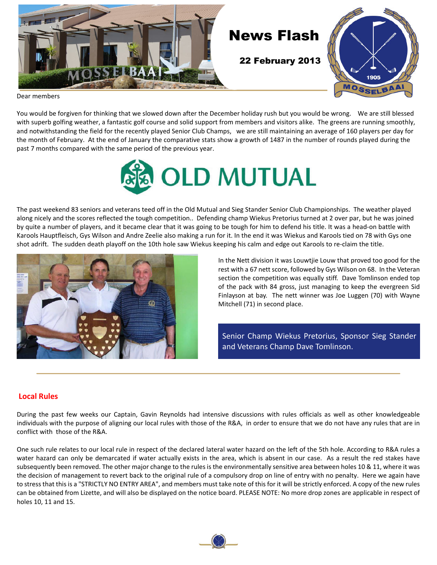

Dear members

You would be forgiven for thinking that we slowed down after the December holiday rush but you would be wrong. We are still blessed with superb golfing weather, a fantastic golf course and solid support from members and visitors alike. The greens are running smoothly, and notwithstanding the field for the recently played Senior Club Champs, we are still maintaining an average of 160 players per day for the month of February. At the end of January the comparative stats show a growth of 1487 in the number of rounds played during the past 7 months compared with the same period of the previous year.



The past weekend 83 seniors and veterans teed off in the Old Mutual and Sieg Stander Senior Club Championships. The weather played along nicely and the scores reflected the tough competition.. Defending champ Wiekus Pretorius turned at 2 over par, but he was joined by quite a number of players, and it became clear that it was going to be tough for him to defend his title. It was a head-on battle with Karools Hauptfleisch, Gys Wilson and Andre Zeelie also making a run for it. In the end it was Wiekus and Karools tied on 78 with Gys one shot adrift. The sudden death playoff on the 10th hole saw Wiekus keeping his calm and edge out Karools to re-claim the title.



In the Nett division it was Louwtjie Louw that proved too good for the rest with a 67 nett score, followed by Gys Wilson on 68. In the Veteran section the competition was equally stiff. Dave Tomlinson ended top of the pack with 84 gross, just managing to keep the evergreen Sid Finlayson at bay. The nett winner was Joe Luggen (70) with Wayne Mitchell (71) in second place.

Senior Champ Wiekus Pretorius, Sponsor Sieg Stander and Veterans Champ Dave Tomlinson.

### **Local Rules**

During the past few weeks our Captain, Gavin Reynolds had intensive discussions with rules officials as well as other knowledgeable individuals with the purpose of aligning our local rules with those of the R&A, in order to ensure that we do not have any rules that are in conflict with those of the R&A.

One such rule relates to our local rule in respect of the declared lateral water hazard on the left of the 5th hole. According to R&A rules a water hazard can only be demarcated if water actually exists in the area, which is absent in our case. As a result the red stakes have subsequently been removed. The other major change to the rules is the environmentally sensitive area between holes 10 & 11, where it was the decision of management to revert back to the original rule of a compulsory drop on line of entry with no penalty. Here we again have to stress that this is a "STRICTLY NO ENTRY AREA", and members must take note of this for it will be strictly enforced. A copy of the new rules can be obtained from Lizette, and will also be displayed on the notice board. PLEASE NOTE: No more drop zones are applicable in respect of holes 10, 11 and 15.

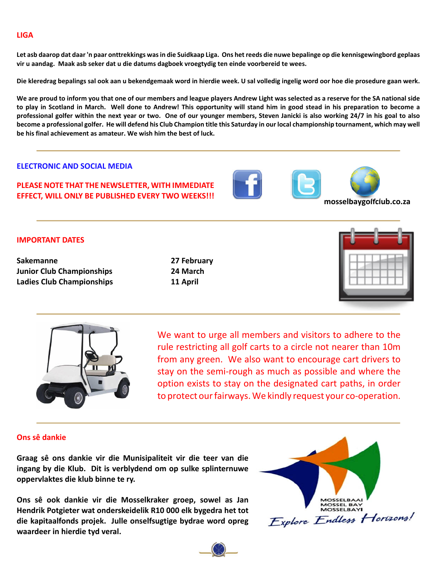### **LIGA**

**Let asb daarop dat daar 'n paar onttrekkings was in die Suidkaap Liga. Ons het reeds die nuwe bepalinge op die kennisgewingbord geplaas vir u aandag. Maak asb seker dat u die datums dagboek vroegtydig ten einde voorbereid te wees.**

**Die kleredrag bepalings sal ook aan u bekendgemaak word in hierdie week. U sal volledig ingelig word oor hoe die prosedure gaan werk.**

**We are proud to inform you that one of our members and league players Andrew Light was selected as a reserve for the SA national side to play in Scotland in March. Well done to Andrew! This opportunity will stand him in good stead in his preparation to become a professional golfer within the next year or two. One of our younger members, Steven Janicki is also working 24/7 in his goal to also become a professional golfer. He will defend his Club Champion title this Saturday in our local championship tournament, which may well be his final achievement as amateur. We wish him the best of luck.**

### **ELECTRONIC AND SOCIAL MEDIA**

### **PLEASE NOTE THAT THE NEWSLETTER, WITH IMMEDIATE EFFECT, WILL ONLY BE PUBLISHED EVERY TWO WEEKS!!! with the contract of the mosselbaygolfclub.co.za**





#### **IMPORTANT DATES**

**Sakemanne 27 February Junior Club Championships 24 March Ladies Club Championships 11 April**





We want to urge all members and visitors to adhere to the rule restricting all golf carts to a circle not nearer than 10m from any green. We also want to encourage cart drivers to stay on the semi-rough as much as possible and where the option exists to stay on the designated cart paths, in order to protect our fairways. We kindly request your co-operation.

### **Ons sê dankie**

**Graag sê ons dankie vir die Munisipaliteit vir die teer van die ingang by die Klub. Dit is verblydend om op sulke splinternuwe oppervlaktes die klub binne te ry.**

**Ons sê ook dankie vir die Mosselkraker groep, sowel as Jan Hendrik Potgieter wat onderskeidelik R10 000 elk bygedra het tot die kapitaalfonds projek. Julle onselfsugtige bydrae word opreg waardeer in hierdie tyd veral.**

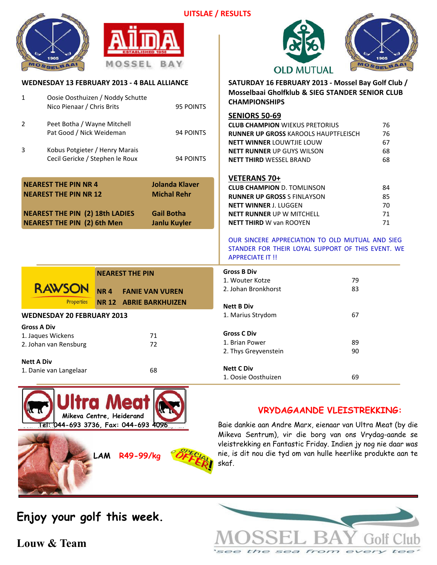



**WEDNESDAY 13 FEBRUARY 2013 - 4 BALL ALLIANCE**

# **OLD MUTUAL**



**SATURDAY 16 FEBRUARY 2013 - Mossel Bay Golf Club / Mosselbaai Gholfklub & SIEG STANDER SENIOR CLUB CHAMPIONSHIPS**

| $\mathbf{1}$                                                                                                                                | Oosie Oosthuizen / Noddy Schutte<br>Nico Pienaar / Chris Brits<br>95 POINTS |                                                                                         | <b>CHAMPIONSHIPS</b>                                                                                                                                                                                 |                            |
|---------------------------------------------------------------------------------------------------------------------------------------------|-----------------------------------------------------------------------------|-----------------------------------------------------------------------------------------|------------------------------------------------------------------------------------------------------------------------------------------------------------------------------------------------------|----------------------------|
| 2<br>Peet Botha / Wayne Mitchell<br>Pat Good / Nick Weideman                                                                                |                                                                             | 94 POINTS                                                                               | <b>SENIORS 50-69</b><br><b>CLUB CHAMPION WIEKUS PRETORIUS</b><br>RUNNER UP GROSS KAROOLS HAUPTFLEISCH                                                                                                | 76<br>76                   |
| 3                                                                                                                                           | Kobus Potgieter / Henry Marais<br>Cecil Gericke / Stephen le Roux           | 94 POINTS                                                                               | <b>NETT WINNER LOUWTJIE LOUW</b><br><b>NETT RUNNER UP GUYS WILSON</b><br><b>NETT THIRD WESSEL BRAND</b>                                                                                              | 67<br>68<br>68             |
| <b>NEAREST THE PIN NR 4</b><br><b>NEAREST THE PIN NR 12</b><br><b>NEAREST THE PIN (2) 18th LADIES</b><br><b>NEAREST THE PIN (2) 6th Men</b> |                                                                             | <b>Jolanda Klaver</b><br><b>Michal Rehr</b><br><b>Gail Botha</b><br><b>Janlu Kuyler</b> | <b>VETERANS 70+</b><br><b>CLUB CHAMPION D. TOMLINSON</b><br><b>RUNNER UP GROSS S FINLAYSON</b><br><b>NETT WINNER J. LUGGEN</b><br><b>NETT RUNNER UP W MITCHELL</b><br><b>NETT THIRD W van ROOYEN</b> | 84<br>85<br>70<br>71<br>71 |
|                                                                                                                                             |                                                                             |                                                                                         | OUR SINCERE APPRECIATION TO OLD MUTUAL AND SIEG<br>STANDER FOR THEIR LOYAL SUPPORT OF THIS EVENT. WE<br><b>APPRECIATE IT !!</b>                                                                      |                            |
| <b>RAWSON</b><br>Properties                                                                                                                 | <b>NEAREST THE PIN</b><br><b>NR4</b><br><b>NR 12 ABRIE BARKHUIZEN</b>       | <b>FANIE VAN VUREN</b>                                                                  | <b>Gross B Div</b><br>1. Wouter Kotze<br>2. Johan Bronkhorst                                                                                                                                         | 79<br>83                   |
| <b>WEDNESDAY 20 FEBRUARY 2013</b>                                                                                                           |                                                                             |                                                                                         | <b>Nett B Div</b><br>1. Marius Strydom                                                                                                                                                               | 67                         |
| <b>Gross A Div</b><br>1. Jaques Wickens<br>2. Johan van Rensburg                                                                            |                                                                             | 71<br>72                                                                                | <b>Gross C Div</b><br>1. Brian Power<br>2. Thys Greyvenstein                                                                                                                                         | 89<br>90                   |
| <b>Nett A Div</b><br>1. Danie van Langelaar                                                                                                 |                                                                             | 68                                                                                      | <b>Nett C Div</b><br>1. Oosie Oosthuizen                                                                                                                                                             | 69                         |



**LAM R49-99/kg**

### **VRYDAGAANDE VLEISTREKKING:**

Baie dankie aan Andre Marx, eienaar van Ultra Meat (by die Mikeva Sentrum), vir die borg van ons Vrydag-aande se vleistrekking en Fantastic Friday. Indien jy nog nie daar was nie, is dit nou die tyd om van hulle heerlike produkte aan te skaf.

**Enjoy your golf this week.**

**Louw & Team**